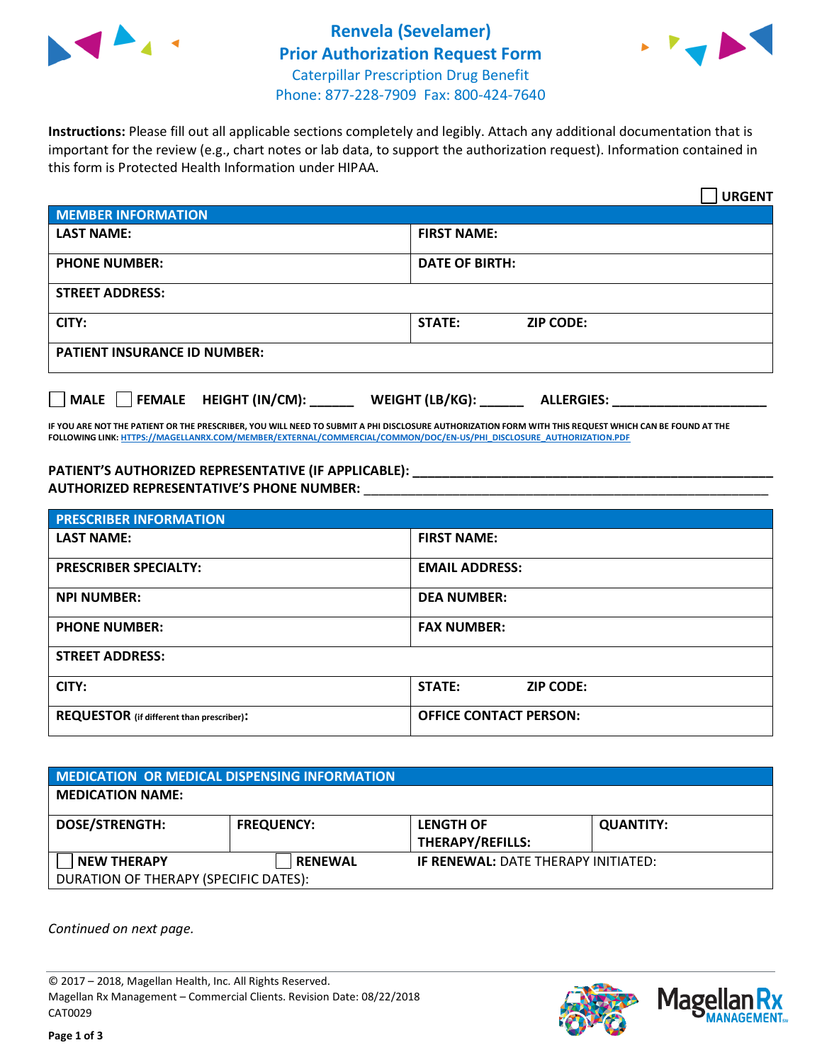

## **Renvela (Sevelamer) Prior Authorization Request Form** Caterpillar Prescription Drug Benefit Phone: 877-228-7909 Fax: 800-424-7640



**Instructions:** Please fill out all applicable sections completely and legibly. Attach any additional documentation that is important for the review (e.g., chart notes or lab data, to support the authorization request). Information contained in this form is Protected Health Information under HIPAA.

|                                       | <b>URGENT</b>                        |  |
|---------------------------------------|--------------------------------------|--|
| <b>MEMBER INFORMATION</b>             |                                      |  |
| <b>LAST NAME:</b>                     | <b>FIRST NAME:</b>                   |  |
| <b>PHONE NUMBER:</b>                  | <b>DATE OF BIRTH:</b>                |  |
| <b>STREET ADDRESS:</b>                |                                      |  |
| CITY:                                 | <b>STATE:</b><br><b>ZIP CODE:</b>    |  |
| <b>PATIENT INSURANCE ID NUMBER:</b>   |                                      |  |
| FEMALE HEIGHT (IN/CM):<br><b>MALE</b> | WEIGHT (LB/KG):<br><b>ALLERGIES:</b> |  |

**IF YOU ARE NOT THE PATIENT OR THE PRESCRIBER, YOU WILL NEED TO SUBMIT A PHI DISCLOSURE AUTHORIZATION FORM WITH THIS REQUEST WHICH CAN BE FOUND AT THE FOLLOWING LINK[: HTTPS://MAGELLANRX.COM/MEMBER/EXTERNAL/COMMERCIAL/COMMON/DOC/EN-US/PHI\\_DISCLOSURE\\_AUTHORIZATION.PDF](https://magellanrx.com/member/external/commercial/common/doc/en-us/PHI_Disclosure_Authorization.pdf)**

**PATIENT'S AUTHORIZED REPRESENTATIVE (IF APPLICABLE): \_\_\_\_\_\_\_\_\_\_\_\_\_\_\_\_\_\_\_\_\_\_\_\_\_\_\_\_\_\_\_\_\_\_\_\_\_\_\_\_\_\_\_\_\_\_\_\_\_ AUTHORIZED REPRESENTATIVE'S PHONE NUMBER:** \_\_\_\_\_\_\_\_\_\_\_\_\_\_\_\_\_\_\_\_\_\_\_\_\_\_\_\_\_\_\_\_\_\_\_\_\_\_\_\_\_\_\_\_\_\_\_\_\_\_\_\_\_\_\_

| <b>PRESCRIBER INFORMATION</b>             |                               |  |  |  |
|-------------------------------------------|-------------------------------|--|--|--|
| <b>LAST NAME:</b>                         | <b>FIRST NAME:</b>            |  |  |  |
| <b>PRESCRIBER SPECIALTY:</b>              | <b>EMAIL ADDRESS:</b>         |  |  |  |
| <b>NPI NUMBER:</b>                        | <b>DEA NUMBER:</b>            |  |  |  |
| <b>PHONE NUMBER:</b>                      | <b>FAX NUMBER:</b>            |  |  |  |
| <b>STREET ADDRESS:</b>                    |                               |  |  |  |
| CITY:                                     | STATE:<br><b>ZIP CODE:</b>    |  |  |  |
| REQUESTOR (if different than prescriber): | <b>OFFICE CONTACT PERSON:</b> |  |  |  |

| <b>MEDICATION OR MEDICAL DISPENSING INFORMATION</b> |                   |                                            |                  |  |  |
|-----------------------------------------------------|-------------------|--------------------------------------------|------------------|--|--|
| <b>MEDICATION NAME:</b>                             |                   |                                            |                  |  |  |
| <b>DOSE/STRENGTH:</b>                               | <b>FREQUENCY:</b> | <b>LENGTH OF</b>                           | <b>QUANTITY:</b> |  |  |
|                                                     |                   | <b>THERAPY/REFILLS:</b>                    |                  |  |  |
| <b>NEW THERAPY</b>                                  | <b>RENEWAL</b>    | <b>IF RENEWAL: DATE THERAPY INITIATED:</b> |                  |  |  |
| DURATION OF THERAPY (SPECIFIC DATES):               |                   |                                            |                  |  |  |

*Continued on next page.*

© 2017 – 2018, Magellan Health, Inc. All Rights Reserved. Magellan Rx Management – Commercial Clients. Revision Date: 08/22/2018 CAT0029



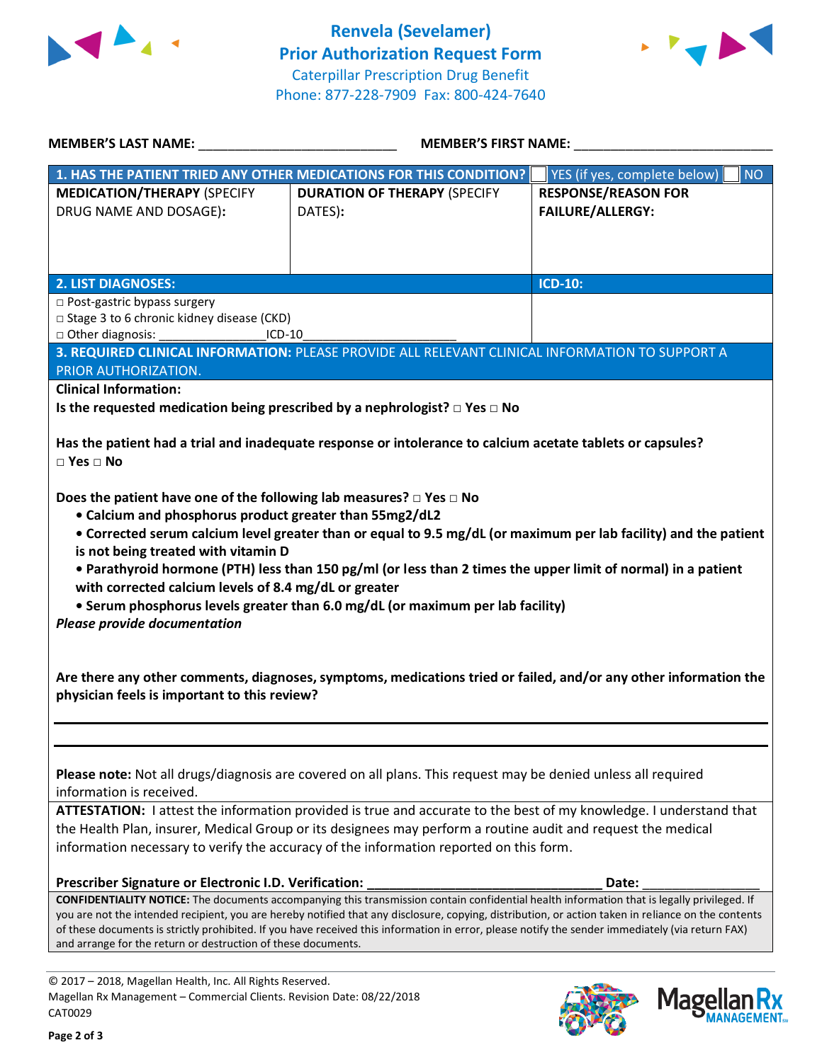



| <b>MEMBER'S LAST NAME:</b>                                                                                                                                                          | <b>MEMBER'S FIRST NAME:</b>                                                                                                                                                                                                                                                                                                                                                                                                                            |                                                                                                                                                                                                                                      |  |
|-------------------------------------------------------------------------------------------------------------------------------------------------------------------------------------|--------------------------------------------------------------------------------------------------------------------------------------------------------------------------------------------------------------------------------------------------------------------------------------------------------------------------------------------------------------------------------------------------------------------------------------------------------|--------------------------------------------------------------------------------------------------------------------------------------------------------------------------------------------------------------------------------------|--|
|                                                                                                                                                                                     | 1. HAS THE PATIENT TRIED ANY OTHER MEDICATIONS FOR THIS CONDITION?                                                                                                                                                                                                                                                                                                                                                                                     | YES (if yes, complete below)<br><b>NO</b>                                                                                                                                                                                            |  |
| <b>MEDICATION/THERAPY (SPECIFY</b><br>DRUG NAME AND DOSAGE):                                                                                                                        | <b>DURATION OF THERAPY (SPECIFY</b><br>DATES):                                                                                                                                                                                                                                                                                                                                                                                                         | <b>RESPONSE/REASON FOR</b><br><b>FAILURE/ALLERGY:</b>                                                                                                                                                                                |  |
| <b>2. LIST DIAGNOSES:</b>                                                                                                                                                           |                                                                                                                                                                                                                                                                                                                                                                                                                                                        | <b>ICD-10:</b>                                                                                                                                                                                                                       |  |
| □ Post-gastric bypass surgery<br>□ Stage 3 to 6 chronic kidney disease (CKD)<br>□ Other diagnosis:<br>$ICD-10$                                                                      |                                                                                                                                                                                                                                                                                                                                                                                                                                                        |                                                                                                                                                                                                                                      |  |
|                                                                                                                                                                                     | 3. REQUIRED CLINICAL INFORMATION: PLEASE PROVIDE ALL RELEVANT CLINICAL INFORMATION TO SUPPORT A                                                                                                                                                                                                                                                                                                                                                        |                                                                                                                                                                                                                                      |  |
| PRIOR AUTHORIZATION.                                                                                                                                                                |                                                                                                                                                                                                                                                                                                                                                                                                                                                        |                                                                                                                                                                                                                                      |  |
| <b>Clinical Information:</b>                                                                                                                                                        |                                                                                                                                                                                                                                                                                                                                                                                                                                                        |                                                                                                                                                                                                                                      |  |
|                                                                                                                                                                                     | Is the requested medication being prescribed by a nephrologist? $\Box$ Yes $\Box$ No                                                                                                                                                                                                                                                                                                                                                                   |                                                                                                                                                                                                                                      |  |
| $\Box$ Yes $\Box$ No                                                                                                                                                                | Has the patient had a trial and inadequate response or intolerance to calcium acetate tablets or capsules?                                                                                                                                                                                                                                                                                                                                             |                                                                                                                                                                                                                                      |  |
| is not being treated with vitamin D<br>with corrected calcium levels of 8.4 mg/dL or greater<br><b>Please provide documentation</b><br>physician feels is important to this review? | • Parathyroid hormone (PTH) less than 150 pg/ml (or less than 2 times the upper limit of normal) in a patient<br>• Serum phosphorus levels greater than 6.0 mg/dL (or maximum per lab facility)                                                                                                                                                                                                                                                        | • Corrected serum calcium level greater than or equal to 9.5 mg/dL (or maximum per lab facility) and the patient<br>Are there any other comments, diagnoses, symptoms, medications tried or failed, and/or any other information the |  |
| information is received.                                                                                                                                                            | Please note: Not all drugs/diagnosis are covered on all plans. This request may be denied unless all required<br>ATTESTATION: I attest the information provided is true and accurate to the best of my knowledge. I understand that<br>the Health Plan, insurer, Medical Group or its designees may perform a routine audit and request the medical<br>information necessary to verify the accuracy of the information reported on this form.          |                                                                                                                                                                                                                                      |  |
| Prescriber Signature or Electronic I.D. Verification:                                                                                                                               |                                                                                                                                                                                                                                                                                                                                                                                                                                                        | Date:                                                                                                                                                                                                                                |  |
| and arrange for the return or destruction of these documents.                                                                                                                       | CONFIDENTIALITY NOTICE: The documents accompanying this transmission contain confidential health information that is legally privileged. If<br>you are not the intended recipient, you are hereby notified that any disclosure, copying, distribution, or action taken in reliance on the contents<br>of these documents is strictly prohibited. If you have received this information in error, please notify the sender immediately (via return FAX) |                                                                                                                                                                                                                                      |  |
| © 2017 - 2018, Magellan Health, Inc. All Rights Reserved.                                                                                                                           |                                                                                                                                                                                                                                                                                                                                                                                                                                                        |                                                                                                                                                                                                                                      |  |
| Magellan Rx Management - Commercial Clients. Revision Date: 08/22/2018<br>CAT0029                                                                                                   |                                                                                                                                                                                                                                                                                                                                                                                                                                                        | <b>Mage</b>                                                                                                                                                                                                                          |  |